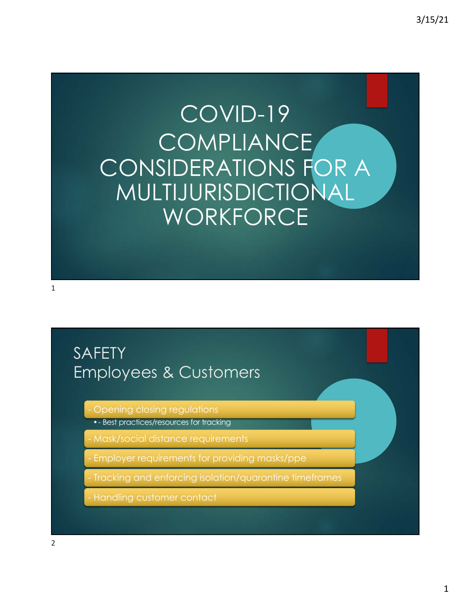# COVID-19 COMPLIANCE CONSIDERATIONS FOR A MULTIJURISDICTIONAL **WORKFORCE**

1

### SAFETY Employees & Customers

Opening closing regulations

•- Best practices/resources for tracking

- Mask/social distance requirements

- Employer requirements for providing masks/ppe

- Tracking and enforcing isolation/quarantine timeframes

- Handling customer contact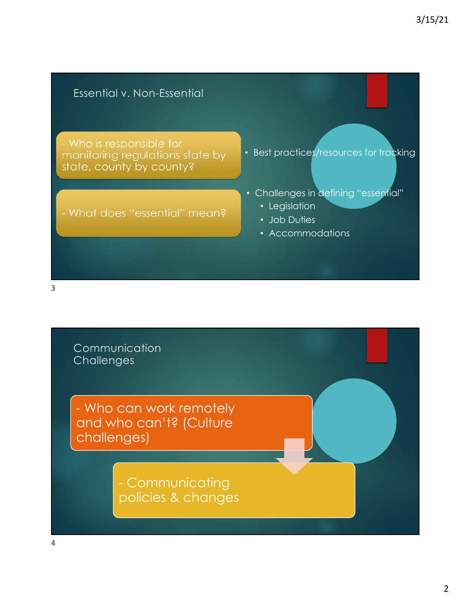

Communication **Challenges** - Who can work remotely and who can't? (Culture challenges) - Communicating policies & changes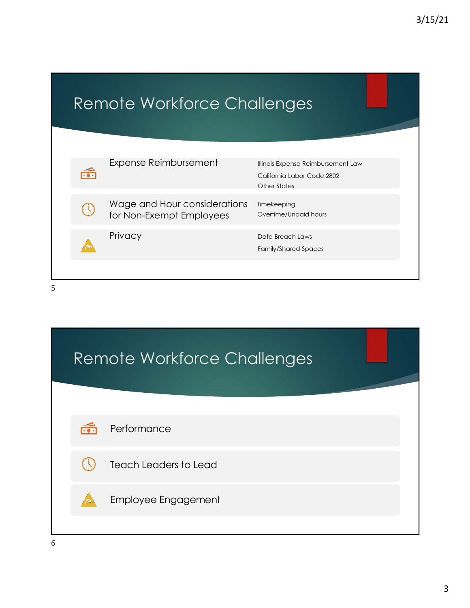## Remote Workforce Challenges

| Expense Reimbursement                                    | Illinois Expense Reimbursement Law<br>California Labor Code 2802<br>Other States |
|----------------------------------------------------------|----------------------------------------------------------------------------------|
| Wage and Hour considerations<br>for Non-Exempt Employees | Timekeeping<br>Overtime/Unpaid hours                                             |
| Privacy                                                  | Data Breach Laws<br><b>Family/Shared Spaces</b>                                  |
|                                                          |                                                                                  |

| <b>Remote Workforce Challenges</b> |                      |                              |
|------------------------------------|----------------------|------------------------------|
|                                    |                      |                              |
|                                    | $\widetilde{\cdots}$ | Performance                  |
|                                    |                      | <b>Teach Leaders to Lead</b> |
|                                    |                      | <b>Employee Engagement</b>   |
|                                    |                      |                              |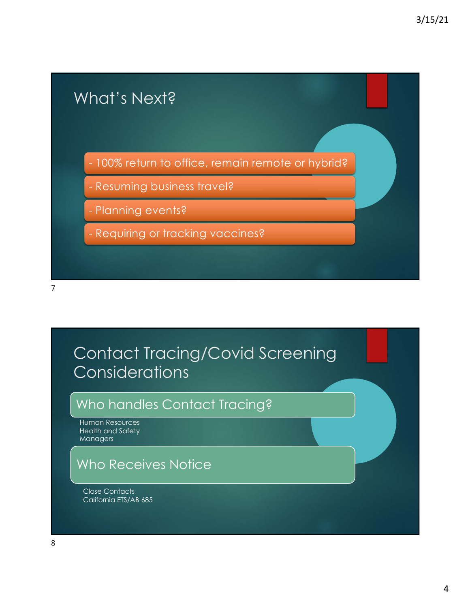

### Contact Tracing/Covid Screening **Considerations**

#### Who handles Contact Tracing?

Human Resources Health and Safety Managers

#### Who Receives Notice

Close Contacts California ETS/AB 685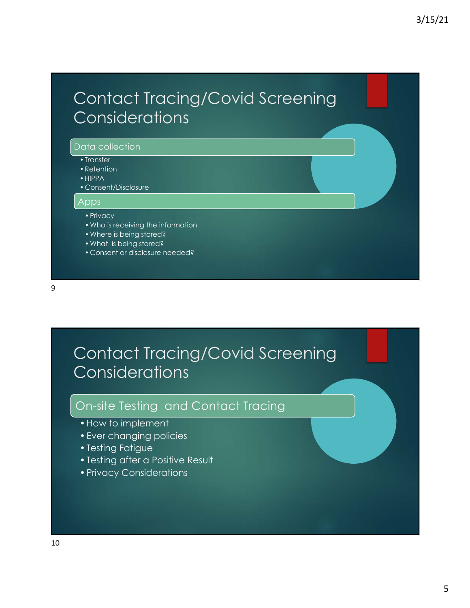### Contact Tracing/Covid Screening **Considerations**

#### Data collection

- Transfer
- •Retention
- •HIPPA
- Consent/Disclosure

#### ers<br>Apps

#### •Privacy

- •Who is receiving the information
- •Where is being stored?
- •What is being stored?
- Consent or disclosure needed?

### Contact Tracing/Covid Screening **Considerations**

#### On-site Testing and Contact Tracing

- •How to implement
- •Ever changing policies
- •Testing Fatigue
- •Testing after a Positive Result
- •Privacy Considerations